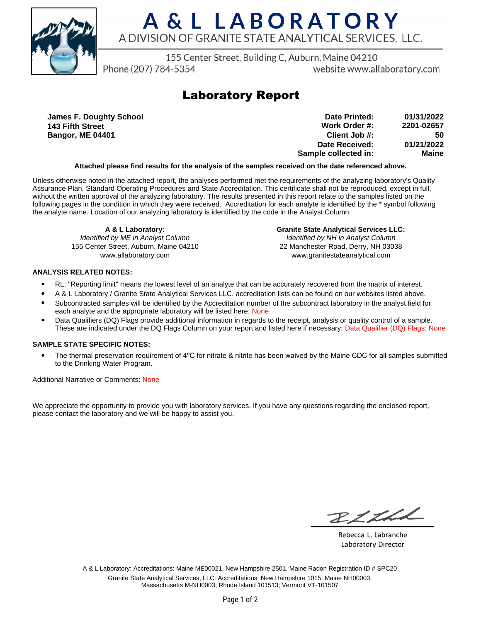

# A & L LABORATORY A DIVISION OF GRANITE STATE ANALYTICAL SERVICES. LLC.

155 Center Street, Building C, Auburn, Maine 04210

Phone (207) 784-5354

website www.allaboratory.com

## **Laboratory Report**

**James F. Doughty School 143 Fifth Street Bangor, ME 04401**

| 01/31/2022 | Date Printed:        |
|------------|----------------------|
| 2201-02657 | Work Order #:        |
| 50         | Client Job #:        |
| 01/21/2022 | Date Received:       |
| Maine      | Sample collected in: |

### **Attached please find results for the analysis of the samples received on the date referenced above.**

Unless otherwise noted in the attached report, the analyses performed met the requirements of the analyzing laboratory's Quality Assurance Plan, Standard Operating Procedures and State Accreditation. This certificate shall not be reproduced, except in full, without the written approval of the analyzing laboratory. The results presented in this report relate to the samples listed on the following pages in the condition in which they were received. Accreditation for each analyte is identified by the \* symbol following the analyte name. Location of our analyzing laboratory is identified by the code in the Analyst Column.

**A & L Laboratory:** Identified by ME in Analyst Column 155 Center Street, Auburn, Maine 04210 www.allaboratory.com

**Granite State Analytical Services LLC:** Identified by NH in Analyst Column 22 Manchester Road, Derry, NH 03038 www.granitestateanalytical.com

### **ANALYSIS RELATED NOTES:**

- RL: "Reporting limit" means the lowest level of an analyte that can be accurately recovered from the matrix of interest.
- A & L Laboratory / Granite State Analytical Services LLC. accreditation lists can be found on our websites listed above.
- Subcontracted samples will be identified by the Accreditation number of the subcontract laboratory in the analyst field for each analyte and the appropriate laboratory will be listed here. None
- Data Qualifiers (DQ) Flags provide additional information in regards to the receipt, analysis or quality control of a sample. These are indicated under the DQ Flags Column on your report and listed here if necessary: Data Qualifier (DQ) Flags: None

### **SAMPLE STATE SPECIFIC NOTES:**

• The thermal preservation requirement of 4°C for nitrate & nitrite has been waived by the Maine CDC for all samples submitted to the Drinking Water Program.

Additional Narrative or Comments: None

We appreciate the opportunity to provide you with laboratory services. If you have any questions regarding the enclosed report, please contact the laboratory and we will be happy to assist you.

RICH

Rebecca L. Labranche Laboratory Director

A & L Laboratory: Accreditations: Maine ME00021, New Hampshire 2501, Maine Radon Registration ID # SPC20 Granite State Analytical Services, LLC: Accreditations: New Hampshire 1015; Maine NH00003; Massachusetts M-NH0003; Rhode Island 101513; Vermont VT-101507